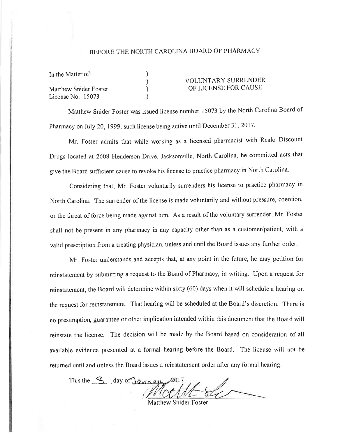## BEFORE THE NORTH CAROLINA BOARD OF PHARMACY

| In the Matter of:     |  |
|-----------------------|--|
|                       |  |
| Matthew Snider Foster |  |
| License No. 15073     |  |

## VOLUNTARY SURRENDER OF LICENSE FOR CAUSE

Matthew Snider Foster was issued license number 15073 by the North Carolina Board of Pharmacy on July 20, 1999, such license being active until December 31, 2017.

Mr. Foster admits that while working as a licensed pharmacist with Realo Discount Drugs located at 2608 Henderson Drive, Jacksonville, North Carolina, he committed acts that give the Board sufficient cause to revoke his license to practice pharmacy in North Carolina.

Considering that, Mr. Foster voluntarily surrenders his license to practice pharmacy in North Carolina. The surrender of the license is made voluntarily and without pressure, coercion, or the threat of force being made against him. As a result of the voluntary surrender, Mr. Foster shall not be present in any pharmacy in any capacity other than as a customer/patient, with a valid prescription from a treating physician, unless and until the Board issues any further order.

Mr. Foster understands and accepts that, at any point in the future, he may petition for reinstatement by submitting a request to the Board of Pharmacy, in writing. Upon a request for reinstatement, the Board will determine within sixty (60) days when it will schedule a hearing on the request for reinstatement. That hearing will be scheduled at the Board's discretion. There is no presumption, guarantee or other implication intended within this document that the Board will reinstate the license. The decision will be made by the Board based on consideration of all available evidence presented at a formal hearing before the Board. The license will not be returned until and unless the Board issues a reinstatement order after any formal hearing.

This the 3 day of January 2017.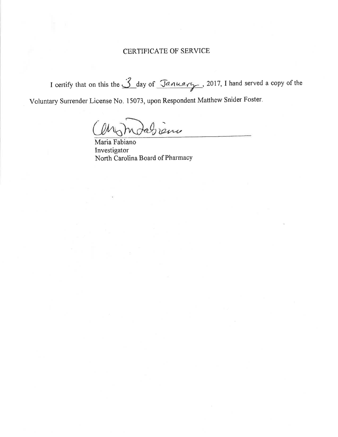## **CERTIFICATE OF SERVICE**

I certify that on this the 3 day of January, 2017, I hand served a copy of the

Voluntary Surrender License No. 15073, upon Respondent Matthew Snider Foster.

Aabiene

Maria Fabiano Investigator North Carolina Board of Pharmacy